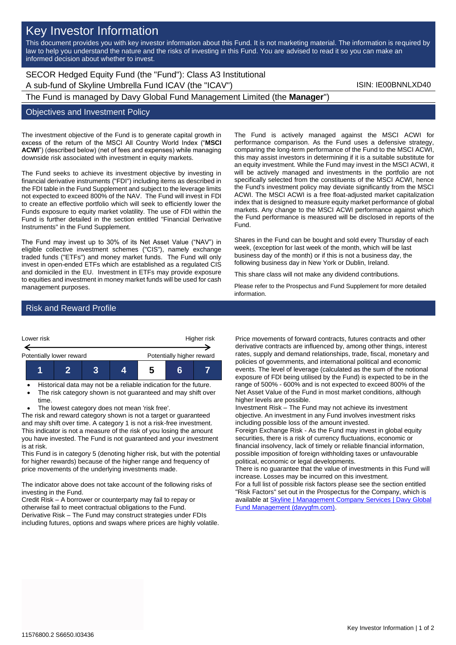# Key Investor Information

This document provides you with key investor information about this Fund. It is not marketing material. The information is required by law to help you understand the nature and the risks of investing in this Fund. You are advised to read it so you can make an informed decision about whether to invest.

## SECOR Hedged Equity Fund (the "Fund"): Class A3 Institutional A sub-fund of Skyline Umbrella Fund ICAV (the "ICAV") Sub-fund iSIN: IE00BNNLXD40

The Fund is managed by Davy Global Fund Management Limited (the **Manager**")

#### Objectives and Investment Policy

The investment objective of the Fund is to generate capital growth in excess of the return of the MSCI All Country World Index ("**MSCI ACWI**") (described below) (net of fees and expenses) while managing downside risk associated with investment in equity markets.

The Fund seeks to achieve its investment objective by investing in financial derivative instruments ("FDI") including items as described in the FDI table in the Fund Supplement and subject to the leverage limits not expected to exceed 800% of the NAV. The Fund will invest in FDI to create an effective portfolio which will seek to efficiently lower the Funds exposure to equity market volatility. The use of FDI within the Fund is further detailed in the section entitled "Financial Derivative Instruments" in the Fund Supplement.

The Fund may invest up to 30% of its Net Asset Value ("NAV") in eligible collective investment schemes ("CIS"), namely exchange traded funds ("ETFs") and money market funds. The Fund will only invest in open-ended ETFs which are established as a regulated CIS and domiciled in the EU. Investment in ETFs may provide exposure to equities and investment in money market funds will be used for cash management purposes.

The Fund is actively managed against the MSCI ACWI for performance comparison. As the Fund uses a defensive strategy, comparing the long-term performance of the Fund to the MSCI ACWI, this may assist investors in determining if it is a suitable substitute for an equity investment. While the Fund may invest in the MSCI ACWI, it will be actively managed and investments in the portfolio are not specifically selected from the constituents of the MSCI ACWI, hence the Fund's investment policy may deviate significantly from the MSCI ACWI. The MSCI ACWI is a free float-adjusted market capitalization index that is designed to measure equity market performance of global markets. Any change to the MSCI ACWI performance against which the Fund performance is measured will be disclosed in reports of the Fund.

Shares in the Fund can be bought and sold every Thursday of each week, (exception for last week of the month, which will be last business day of the month) or if this is not a business day, the following business day in New York or Dublin, Ireland.

This share class will not make any dividend contributions.

Please refer to the Prospectus and Fund Supplement for more detailed information.

### Risk and Reward Profile



- Historical data may not be a reliable indication for the future.
- The risk category shown is not guaranteed and may shift over time.
- The lowest category does not mean 'risk free'.

The risk and reward category shown is not a target or guaranteed and may shift over time. A category 1 is not a risk-free investment. This indicator is not a measure of the risk of you losing the amount you have invested. The Fund is not guaranteed and your investment is at risk.

This Fund is in category 5 (denoting higher risk, but with the potential for higher rewards) because of the higher range and frequency of price movements of the underlying investments made.

The indicator above does not take account of the following risks of investing in the Fund.

Credit Risk – A borrower or counterparty may fail to repay or otherwise fail to meet contractual obligations to the Fund. Derivative Risk – The Fund may construct strategies under FDIs including futures, options and swaps where prices are highly volatile. Price movements of forward contracts, futures contracts and other derivative contracts are influenced by, among other things, interest rates, supply and demand relationships, trade, fiscal, monetary and policies of governments, and international political and economic events. The level of leverage (calculated as the sum of the notional exposure of FDI being utilised by the Fund) is expected to be in the range of 500% - 600% and is not expected to exceed 800% of the Net Asset Value of the Fund in most market conditions, although higher levels are possible.

Investment Risk – The Fund may not achieve its investment objective. An investment in any Fund involves investment risks including possible loss of the amount invested.

Foreign Exchange Risk - As the Fund may invest in global equity securities, there is a risk of currency fluctuations, economic or financial insolvency, lack of timely or reliable financial information, possible imposition of foreign withholding taxes or unfavourable political, economic or legal developments.

There is no guarantee that the value of investments in this Fund will increase. Losses may be incurred on this investment.

For a full list of possible risk factors please see the section entitled "Risk Factors" set out in the Prospectus for the Company, which is available at Skyline | Management Company Services | Davy Global [Fund Management \(davygfm.com\).](https://www.davygfm.com/funds-factsheets/management-company-services/ireland/skyline.html)